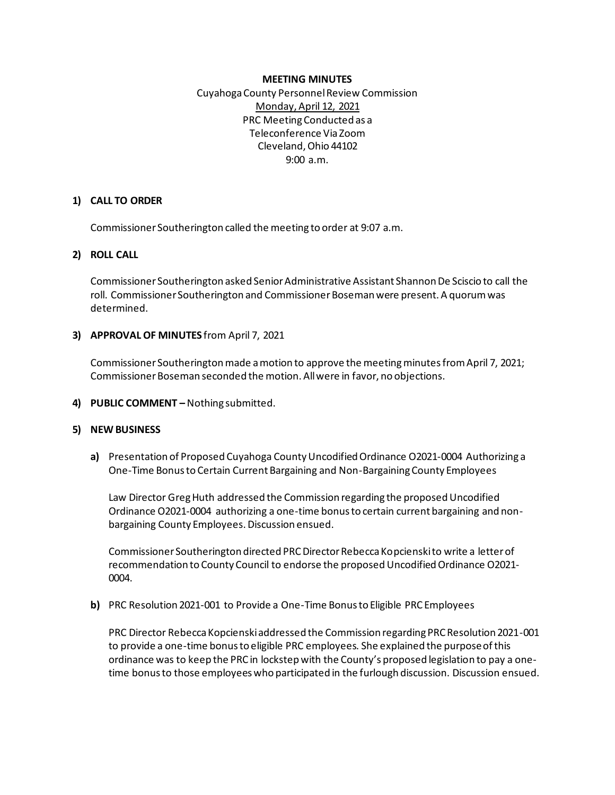#### **MEETING MINUTES**

Cuyahoga County Personnel Review Commission Monday, April 12, 2021 PRC Meeting Conducted as a Teleconference Via Zoom Cleveland, Ohio 44102 9:00 a.m.

#### **1) CALL TO ORDER**

Commissioner Southerington called the meeting to order at 9:07 a.m.

### **2) ROLL CALL**

Commissioner Southerington asked Senior Administrative Assistant Shannon De Sciscio to call the roll. Commissioner Southerington and Commissioner Boseman were present. A quorum was determined.

### **3) APPROVAL OF MINUTES** from April 7, 2021

Commissioner Southerington made a motion to approve the meeting minutes from April 7, 2021; Commissioner Boseman seconded the motion. All were in favor, no objections.

**4) PUBLIC COMMENT –** Nothing submitted.

## **5) NEW BUSINESS**

**a)** Presentation of Proposed Cuyahoga County Uncodified Ordinance O2021-0004 Authorizing a One-Time Bonus to Certain Current Bargaining and Non-Bargaining County Employees

Law Director Greg Huth addressed the Commission regarding the proposed Uncodified Ordinance O2021-0004 authorizing a one-time bonus to certain current bargaining and nonbargaining County Employees. Discussion ensued.

Commissioner Southerington directed PRC Director Rebecca Kopcienski to write a letter of recommendation to County Council to endorse the proposed Uncodified Ordinance O2021- 0004.

**b)** PRC Resolution 2021-001 to Provide a One-Time Bonus to Eligible PRC Employees

PRC Director Rebecca Kopcienski addressed the Commission regarding PRC Resolution 2021-001 to provide a one-time bonus to eligible PRC employees. She explained the purpose of this ordinance was to keep the PRC in lockstep with the County's proposed legislation to pay a onetime bonus to those employees who participated in the furlough discussion. Discussion ensued.